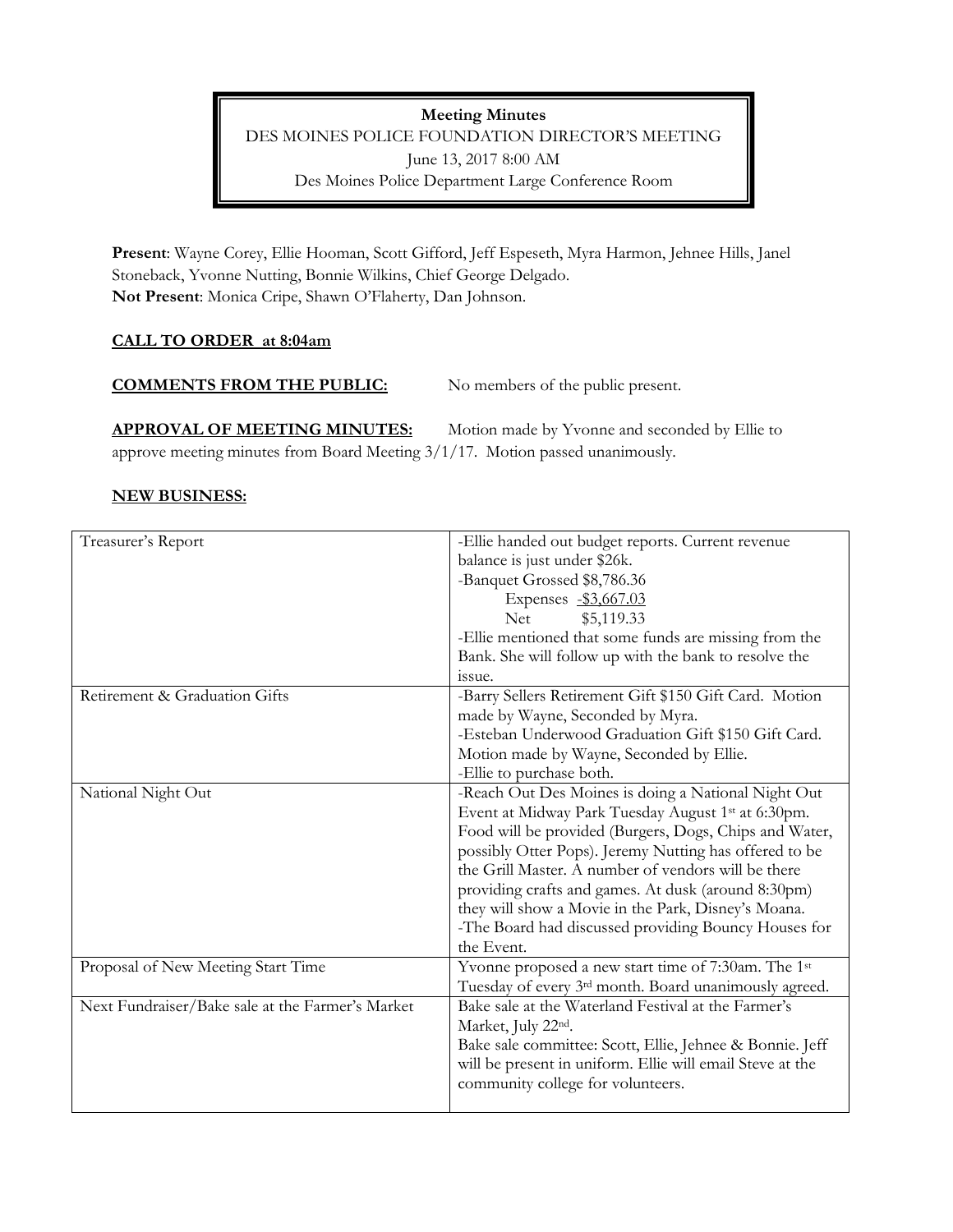# **Meeting Minutes**  DES MOINES POLICE FOUNDATION DIRECTOR'S MEETING June 13, 2017 8:00 AM Des Moines Police Department Large Conference Room

**Present**: Wayne Corey, Ellie Hooman, Scott Gifford, Jeff Espeseth, Myra Harmon, Jehnee Hills, Janel Stoneback, Yvonne Nutting, Bonnie Wilkins, Chief George Delgado. **Not Present**: Monica Cripe, Shawn O'Flaherty, Dan Johnson.

# **CALL TO ORDER at 8:04am**

### **COMMENTS FROM THE PUBLIC:** No members of the public present.

**APPROVAL OF MEETING MINUTES:** Motion made by Yvonne and seconded by Ellie to approve meeting minutes from Board Meeting 3/1/17. Motion passed unanimously.

### **NEW BUSINESS:**

| Treasurer's Report                               | -Ellie handed out budget reports. Current revenue         |
|--------------------------------------------------|-----------------------------------------------------------|
|                                                  | balance is just under \$26k.                              |
|                                                  | -Banquet Grossed \$8,786.36                               |
|                                                  | Expenses -\$3,667.03                                      |
|                                                  | \$5,119.33<br><b>Net</b>                                  |
|                                                  | -Ellie mentioned that some funds are missing from the     |
|                                                  | Bank. She will follow up with the bank to resolve the     |
|                                                  | issue.                                                    |
| Retirement & Graduation Gifts                    | -Barry Sellers Retirement Gift \$150 Gift Card. Motion    |
|                                                  | made by Wayne, Seconded by Myra.                          |
|                                                  | -Esteban Underwood Graduation Gift \$150 Gift Card.       |
|                                                  | Motion made by Wayne, Seconded by Ellie.                  |
|                                                  | -Ellie to purchase both.                                  |
| National Night Out                               | -Reach Out Des Moines is doing a National Night Out       |
|                                                  | Event at Midway Park Tuesday August 1st at 6:30pm.        |
|                                                  | Food will be provided (Burgers, Dogs, Chips and Water,    |
|                                                  | possibly Otter Pops). Jeremy Nutting has offered to be    |
|                                                  | the Grill Master. A number of vendors will be there       |
|                                                  | providing crafts and games. At dusk (around 8:30pm)       |
|                                                  | they will show a Movie in the Park, Disney's Moana.       |
|                                                  | -The Board had discussed providing Bouncy Houses for      |
|                                                  | the Event.                                                |
| Proposal of New Meeting Start Time               | Yvonne proposed a new start time of 7:30am. The 1st       |
|                                                  | Tuesday of every 3rd month. Board unanimously agreed.     |
| Next Fundraiser/Bake sale at the Farmer's Market | Bake sale at the Waterland Festival at the Farmer's       |
|                                                  | Market, July 22nd.                                        |
|                                                  | Bake sale committee: Scott, Ellie, Jehnee & Bonnie. Jeff  |
|                                                  | will be present in uniform. Ellie will email Steve at the |
|                                                  | community college for volunteers.                         |
|                                                  |                                                           |